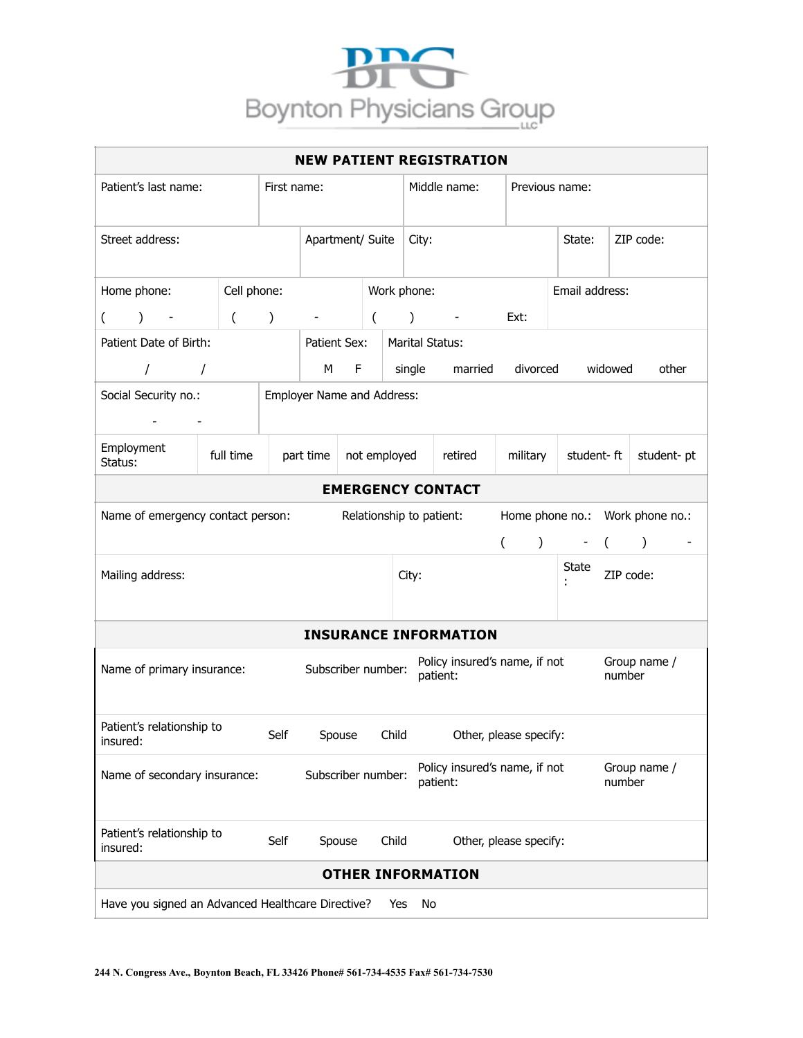

| <b>NEW PATIENT REGISTRATION</b>                   |             |               |                            |        |              |                                           |               |                                           |                        |                |         |                                                  |  |
|---------------------------------------------------|-------------|---------------|----------------------------|--------|--------------|-------------------------------------------|---------------|-------------------------------------------|------------------------|----------------|---------|--------------------------------------------------|--|
| Patient's last name:                              |             | First name:   |                            |        |              | Middle name:<br>Previous name:            |               |                                           |                        |                |         |                                                  |  |
| Street address:                                   |             |               | Apartment/ Suite           |        |              |                                           | City:         |                                           |                        | State:         |         | ZIP code:                                        |  |
| Home phone:                                       | Cell phone: |               |                            |        |              |                                           | Work phone:   |                                           |                        | Email address: |         |                                                  |  |
| $\mathcal{L}$<br>$\left($                         | $\left($    | $\mathcal{C}$ |                            |        | $\left($     |                                           | $\mathcal{C}$ |                                           | Ext:                   |                |         |                                                  |  |
| Patient Date of Birth:                            |             |               | Patient Sex:               |        |              |                                           |               | <b>Marital Status:</b>                    |                        |                |         |                                                  |  |
| $\sqrt{2}$                                        | $\sqrt{ }$  |               | M                          | F      |              |                                           | single        | married                                   | divorced               |                | widowed | other                                            |  |
| Social Security no.:<br><b>All Contracts</b>      |             |               | Employer Name and Address: |        |              |                                           |               |                                           |                        |                |         |                                                  |  |
| Employment<br>Status:                             | full time   |               | part time                  |        | not employed |                                           |               | retired                                   | military               | student-ft     |         | student-pt                                       |  |
|                                                   |             |               |                            |        |              |                                           |               | <b>EMERGENCY CONTACT</b>                  |                        |                |         |                                                  |  |
| Name of emergency contact person:                 |             |               |                            |        |              |                                           |               | Relationship to patient:                  | $\left($               | ) - (          |         | Home phone no.: Work phone no.:<br>$\rightarrow$ |  |
| Mailing address:                                  |             |               |                            |        |              |                                           | City:         |                                           |                        | State          |         | ZIP code:                                        |  |
|                                                   |             |               |                            |        |              |                                           |               | <b>INSURANCE INFORMATION</b>              |                        |                |         |                                                  |  |
| Name of primary insurance:                        |             |               | Subscriber number:         |        |              |                                           |               | Policy insured's name, if not<br>patient: |                        |                | number  | Group name /                                     |  |
| Patient's relationship to<br>insured:             |             | Self          |                            | Spouse |              | Child                                     |               |                                           | Other, please specify: |                |         |                                                  |  |
| Name of secondary insurance:                      |             |               | Subscriber number:         |        |              | Policy insured's name, if not<br>patient: |               | Group name /<br>number                    |                        |                |         |                                                  |  |
| Patient's relationship to<br>insured:             |             | Self          |                            | Spouse |              | Child                                     |               |                                           | Other, please specify: |                |         |                                                  |  |
|                                                   |             |               |                            |        |              |                                           |               | <b>OTHER INFORMATION</b>                  |                        |                |         |                                                  |  |
| Have you signed an Advanced Healthcare Directive? |             |               |                            |        |              | Yes                                       | No            |                                           |                        |                |         |                                                  |  |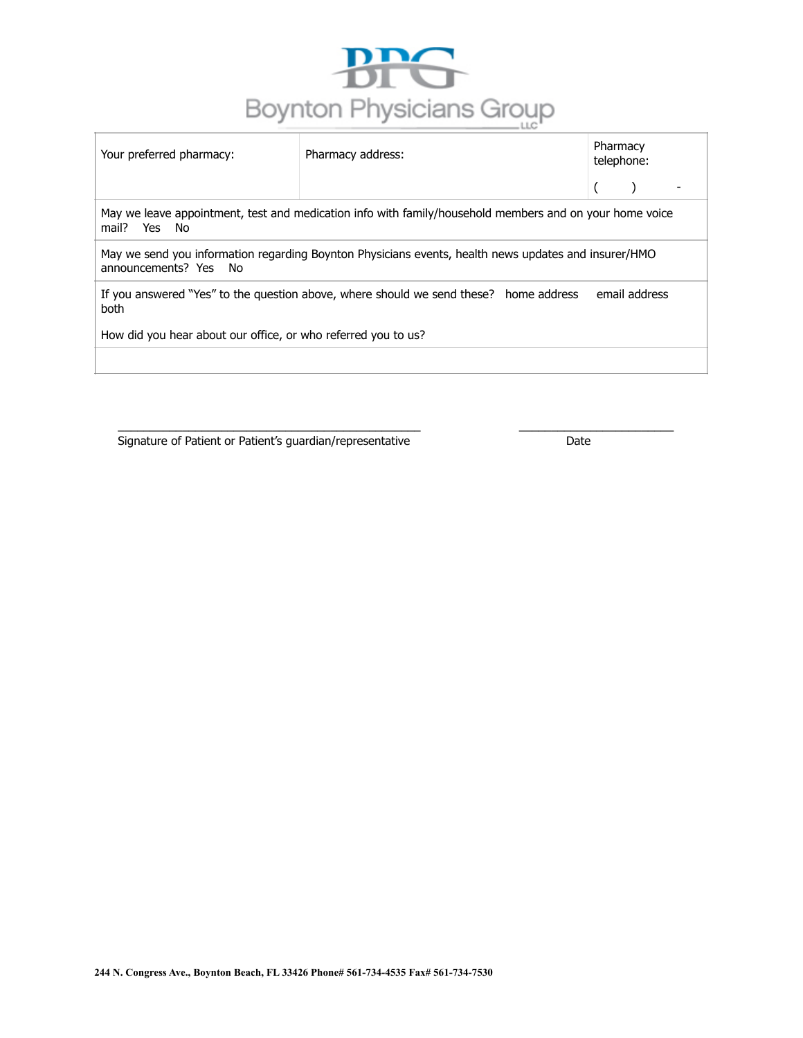

| Your preferred pharmacy:                                                                                                      | Pharmacy address: | Pharmacy<br>telephone: |  |  |  |
|-------------------------------------------------------------------------------------------------------------------------------|-------------------|------------------------|--|--|--|
|                                                                                                                               |                   |                        |  |  |  |
| May we leave appointment, test and medication info with family/household members and on your home voice<br>mail? Yes<br>No    |                   |                        |  |  |  |
| May we send you information regarding Boynton Physicians events, health news updates and insurer/HMO<br>announcements? Yes No |                   |                        |  |  |  |
| If you answered "Yes" to the question above, where should we send these? home address<br>email address<br>both                |                   |                        |  |  |  |
| How did you hear about our office, or who referred you to us?                                                                 |                   |                        |  |  |  |
|                                                                                                                               |                   |                        |  |  |  |

\_\_\_\_\_\_\_\_\_\_\_\_\_\_\_\_\_\_\_\_\_\_\_\_\_\_\_\_\_\_\_\_\_\_\_\_\_\_\_\_\_\_\_\_\_\_\_ \_\_\_\_\_\_\_\_\_\_\_\_\_\_\_\_\_\_\_\_\_\_\_\_

Signature of Patient or Patient's guardian/representative Date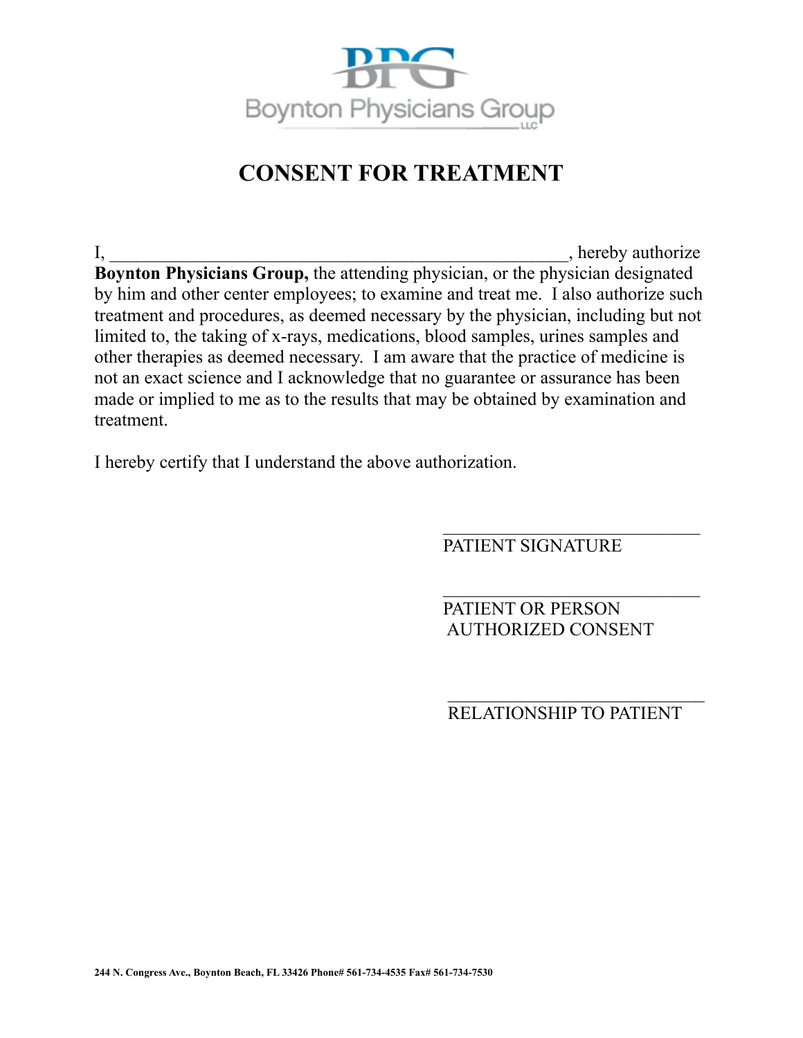

# **CONSENT FOR TREATMENT**

I, hereby authorize **Boynton Physicians Group,** the attending physician, or the physician designated by him and other center employees; to examine and treat me. I also authorize such treatment and procedures, as deemed necessary by the physician, including but not limited to, the taking of x-rays, medications, blood samples, urines samples and other therapies as deemed necessary. I am aware that the practice of medicine is not an exact science and I acknowledge that no guarantee or assurance has been made or implied to me as to the results that may be obtained by examination and treatment.

I hereby certify that I understand the above authorization.

PATIENT SIGNATURE

 $\overline{\phantom{a}}$  , where  $\overline{\phantom{a}}$  , where  $\overline{\phantom{a}}$  , where  $\overline{\phantom{a}}$ 

 $\overline{\phantom{a}}$  , where  $\overline{\phantom{a}}$  , where  $\overline{\phantom{a}}$  , where  $\overline{\phantom{a}}$ 

PATIENT OR PERSON AUTHORIZED CONSENT

RELATIONSHIP TO PATIENT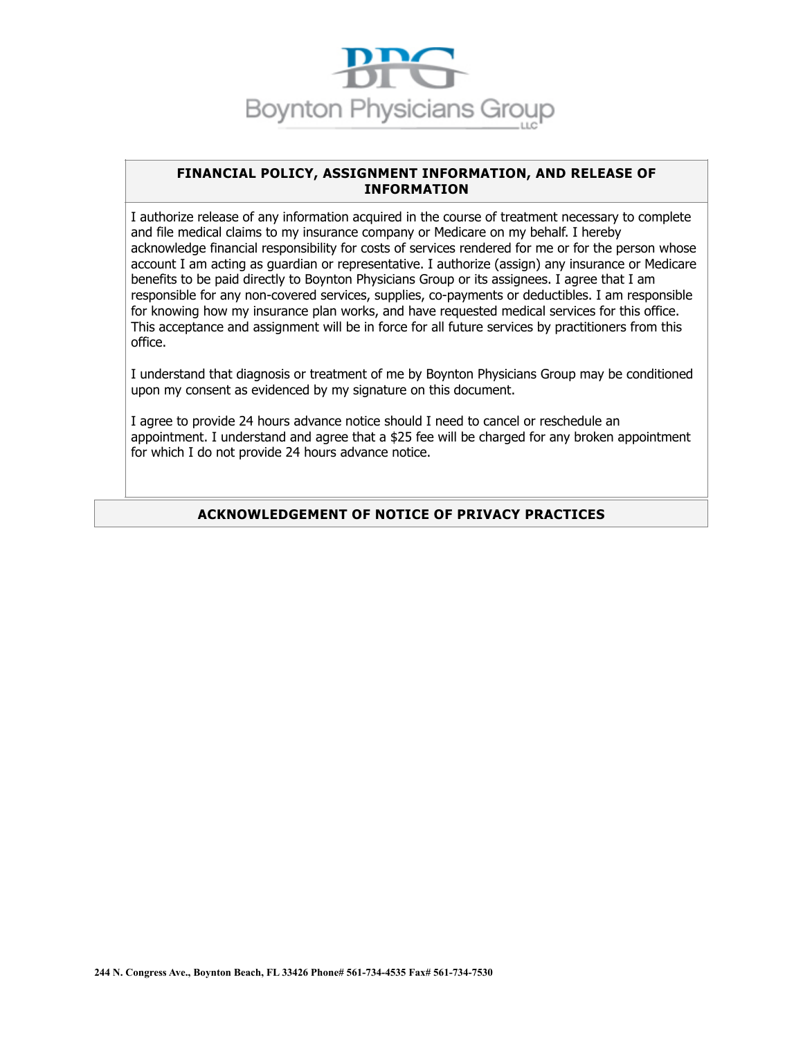

#### **FINANCIAL POLICY, ASSIGNMENT INFORMATION, AND RELEASE OF INFORMATION**

I authorize release of any information acquired in the course of treatment necessary to complete and file medical claims to my insurance company or Medicare on my behalf. I hereby acknowledge financial responsibility for costs of services rendered for me or for the person whose account I am acting as guardian or representative. I authorize (assign) any insurance or Medicare benefits to be paid directly to Boynton Physicians Group or its assignees. I agree that I am responsible for any non-covered services, supplies, co-payments or deductibles. I am responsible for knowing how my insurance plan works, and have requested medical services for this office. This acceptance and assignment will be in force for all future services by practitioners from this office.

I understand that diagnosis or treatment of me by Boynton Physicians Group may be conditioned upon my consent as evidenced by my signature on this document.

I agree to provide 24 hours advance notice should I need to cancel or reschedule an appointment. I understand and agree that a \$25 fee will be charged for any broken appointment for which I do not provide 24 hours advance notice.

### **ACKNOWLEDGEMENT OF NOTICE OF PRIVACY PRACTICES**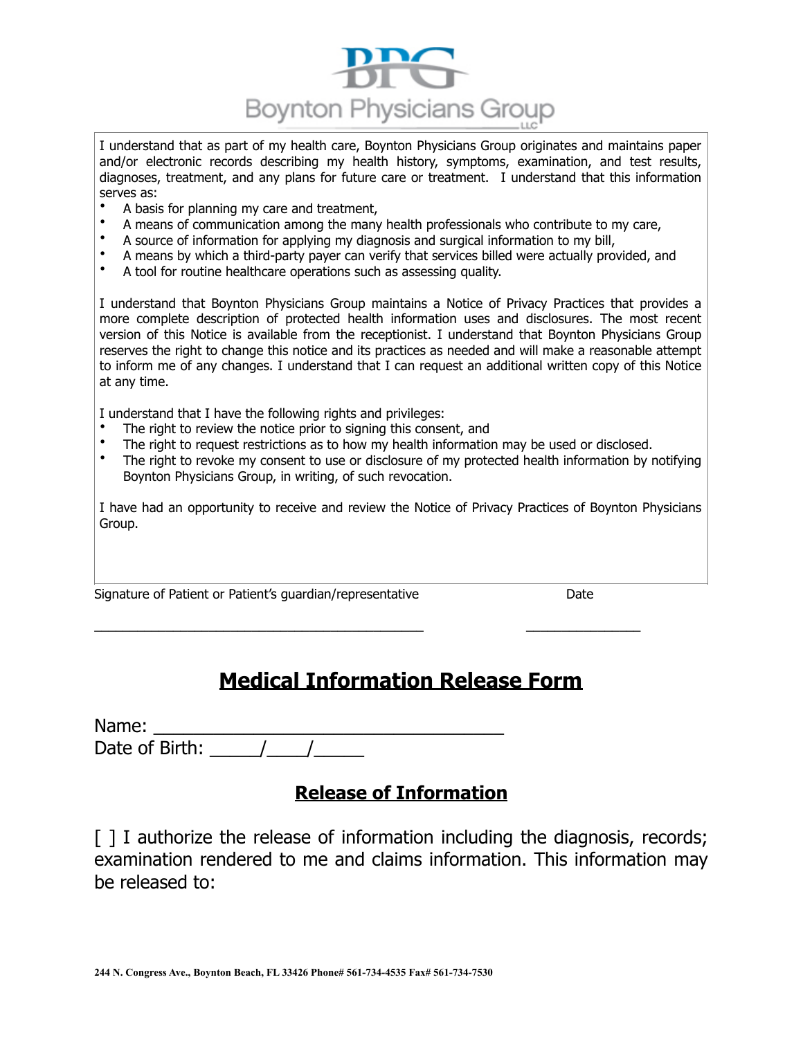

I understand that as part of my health care, Boynton Physicians Group originates and maintains paper and/or electronic records describing my health history, symptoms, examination, and test results, diagnoses, treatment, and any plans for future care or treatment. I understand that this information serves as:

- A basis for planning my care and treatment,
- A means of communication among the many health professionals who contribute to my care,
- A source of information for applying my diagnosis and surgical information to my bill,
- A means by which a third-party payer can verify that services billed were actually provided, and
- A tool for routine healthcare operations such as assessing quality.

I understand that Boynton Physicians Group maintains a Notice of Privacy Practices that provides a more complete description of protected health information uses and disclosures. The most recent version of this Notice is available from the receptionist. I understand that Boynton Physicians Group reserves the right to change this notice and its practices as needed and will make a reasonable attempt to inform me of any changes. I understand that I can request an additional written copy of this Notice at any time.

I understand that I have the following rights and privileges:

- The right to review the notice prior to signing this consent, and
- The right to request restrictions as to how my health information may be used or disclosed.<br>• The right to revoke my consent to use or disclosure of my protected health information by r
- The right to revoke my consent to use or disclosure of my protected health information by notifying Boynton Physicians Group, in writing, of such revocation.

I have had an opportunity to receive and review the Notice of Privacy Practices of Boynton Physicians Group.

Signature of Patient or Patient's guardian/representative Date

# **Medical Information Release Form**

\_\_\_\_\_\_\_\_\_\_\_\_\_\_\_\_\_\_\_\_\_\_\_\_\_\_\_\_\_\_\_\_\_\_\_\_\_\_\_\_\_\_\_\_\_\_ \_\_\_\_\_\_\_\_\_\_\_\_\_\_\_\_

| Name:          |  |  |  |  |
|----------------|--|--|--|--|
| Date of Birth: |  |  |  |  |

# **Release of Information**

[ ] I authorize the release of information including the diagnosis, records; examination rendered to me and claims information. This information may be released to: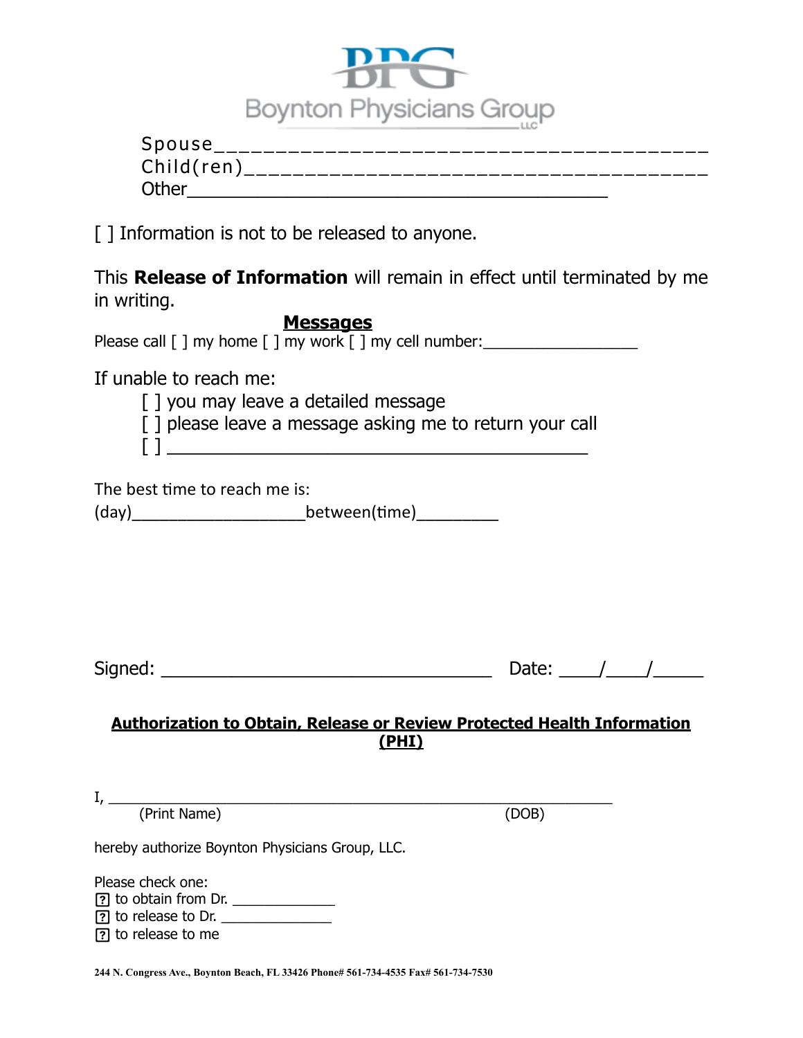

| Spouse <sub>.</sub> |                            |  |
|---------------------|----------------------------|--|
| Child(ren)          | __________________________ |  |
| Other               |                            |  |

[] Information is not to be released to anyone.

This **Release of Information** will remain in effect until terminated by me in writing.

**Messages**  Please call  $\lceil \cdot \rceil$  my home  $\lceil \cdot \rceil$  my work  $\lceil \cdot \rceil$  my cell number: If unable to reach me: [ ] you may leave a detailed message [ ] please leave a message asking me to return your call  $\left[\!\!\left[ \begin{array}{cc} 1 & \rule{2.2cm}{0.4cm} & \rule{2.2cm}{0.4cm} & \rule{2.2cm}{0.4cm} & \rule{2.2cm}{0.4cm} & \rule{2.2cm}{0.4cm} & \rule{2.2cm}{0.4cm} & \rule{2.2cm}{0.4cm} & \rule{2.2cm}{0.4cm} & \rule{2.2cm}{0.4cm} & \rule{2.2cm}{0.4cm} & \rule{2.2cm}{0.4cm} & \rule{2.2cm}{0.4cm} & \rule{2.2cm}{0.4cm} & \rule{2.2cm}{0.4cm} & \rule{2.2cm$ The best time to reach me is: (day)\_\_\_\_\_\_\_\_\_\_\_\_\_\_\_\_\_\_\_between((me)\_\_\_\_\_\_\_\_\_ Signed: \_\_\_\_\_\_\_\_\_\_\_\_\_\_\_\_\_\_\_\_\_\_\_\_\_\_\_\_\_\_\_\_\_ Date: \_\_\_\_/\_\_\_\_/\_\_\_\_\_ **Authorization to Obtain, Release or Review Protected Health Information (PHI)**  I, \_\_\_\_\_\_\_\_\_\_\_\_\_\_\_\_\_\_\_\_\_\_\_\_\_\_\_\_\_\_\_\_\_\_\_\_\_\_\_\_\_\_\_\_\_\_\_\_\_\_\_\_\_\_\_\_\_\_\_\_\_\_\_\_ (Print Name) (DOB) hereby authorize Boynton Physicians Group, LLC. Please check one: to obtain from Dr. \_\_\_\_\_\_\_\_\_\_\_\_\_ to release to Dr.

**244 N. Congress Ave., Boynton Beach, FL 33426 Phone# 561-734-4535 Fax# 561-734-7530** 

to release to me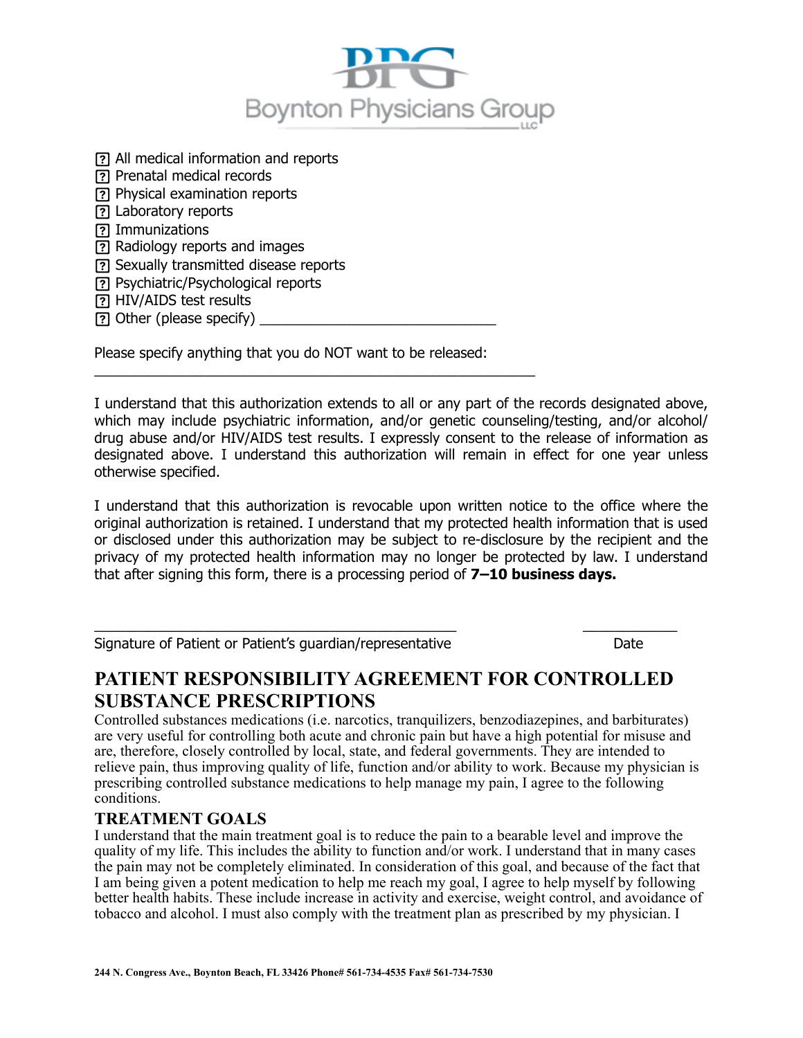

 All medical information and reports Prenatal medical records Physical examination reports Laboratory reports ? Immunizations Radiology reports and images Sexually transmitted disease reports Psychiatric/Psychological reports HIV/AIDS test results [?] Other (please specify)

Please specify anything that you do NOT want to be released:

\_\_\_\_\_\_\_\_\_\_\_\_\_\_\_\_\_\_\_\_\_\_\_\_\_\_\_\_\_\_\_\_\_\_\_\_\_\_\_\_\_\_\_\_\_\_\_\_\_\_\_\_\_\_\_\_

I understand that this authorization extends to all or any part of the records designated above, which may include psychiatric information, and/or genetic counseling/testing, and/or alcohol/ drug abuse and/or HIV/AIDS test results. I expressly consent to the release of information as designated above. I understand this authorization will remain in effect for one year unless otherwise specified.

I understand that this authorization is revocable upon written notice to the office where the original authorization is retained. I understand that my protected health information that is used or disclosed under this authorization may be subject to re-disclosure by the recipient and the privacy of my protected health information may no longer be protected by law. I understand that after signing this form, there is a processing period of **7–10 business days.** 

Signature of Patient or Patient's guardian/representative Date

# **PATIENT RESPONSIBILITY AGREEMENT FOR CONTROLLED SUBSTANCE PRESCRIPTIONS**

 $\_$  , and the set of the set of the set of the set of the set of the set of the set of the set of the set of the set of the set of the set of the set of the set of the set of the set of the set of the set of the set of th

Controlled substances medications (i.e. narcotics, tranquilizers, benzodiazepines, and barbiturates) are very useful for controlling both acute and chronic pain but have a high potential for misuse and are, therefore, closely controlled by local, state, and federal governments. They are intended to relieve pain, thus improving quality of life, function and/or ability to work. Because my physician is prescribing controlled substance medications to help manage my pain, I agree to the following conditions.

### **TREATMENT GOALS**

I understand that the main treatment goal is to reduce the pain to a bearable level and improve the quality of my life. This includes the ability to function and/or work. I understand that in many cases the pain may not be completely eliminated. In consideration of this goal, and because of the fact that I am being given a potent medication to help me reach my goal, I agree to help myself by following better health habits. These include increase in activity and exercise, weight control, and avoidance of tobacco and alcohol. I must also comply with the treatment plan as prescribed by my physician. I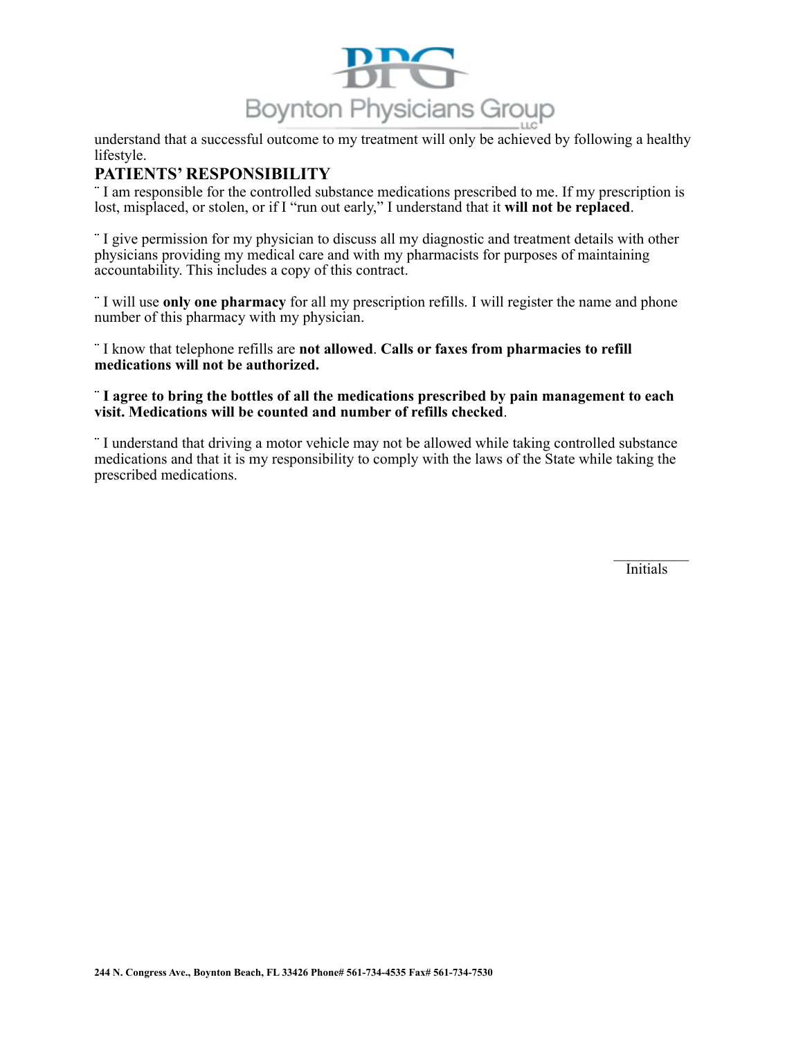

understand that a successful outcome to my treatment will only be achieved by following a healthy lifestyle.

### **PATIENTS' RESPONSIBILITY**

¨ I am responsible for the controlled substance medications prescribed to me. If my prescription is lost, misplaced, or stolen, or if I "run out early," I understand that it **will not be replaced**.

¨ I give permission for my physician to discuss all my diagnostic and treatment details with other physicians providing my medical care and with my pharmacists for purposes of maintaining accountability. This includes a copy of this contract.

¨ I will use **only one pharmacy** for all my prescription refills. I will register the name and phone number of this pharmacy with my physician.

¨ I know that telephone refills are **not allowed**. **Calls or faxes from pharmacies to refill medications will not be authorized.** 

#### ¨ **I agree to bring the bottles of all the medications prescribed by pain management to each visit. Medications will be counted and number of refills checked**.

¨ I understand that driving a motor vehicle may not be allowed while taking controlled substance medications and that it is my responsibility to comply with the laws of the State while taking the prescribed medications.

 $\mathcal{L}_\text{max}$ Initials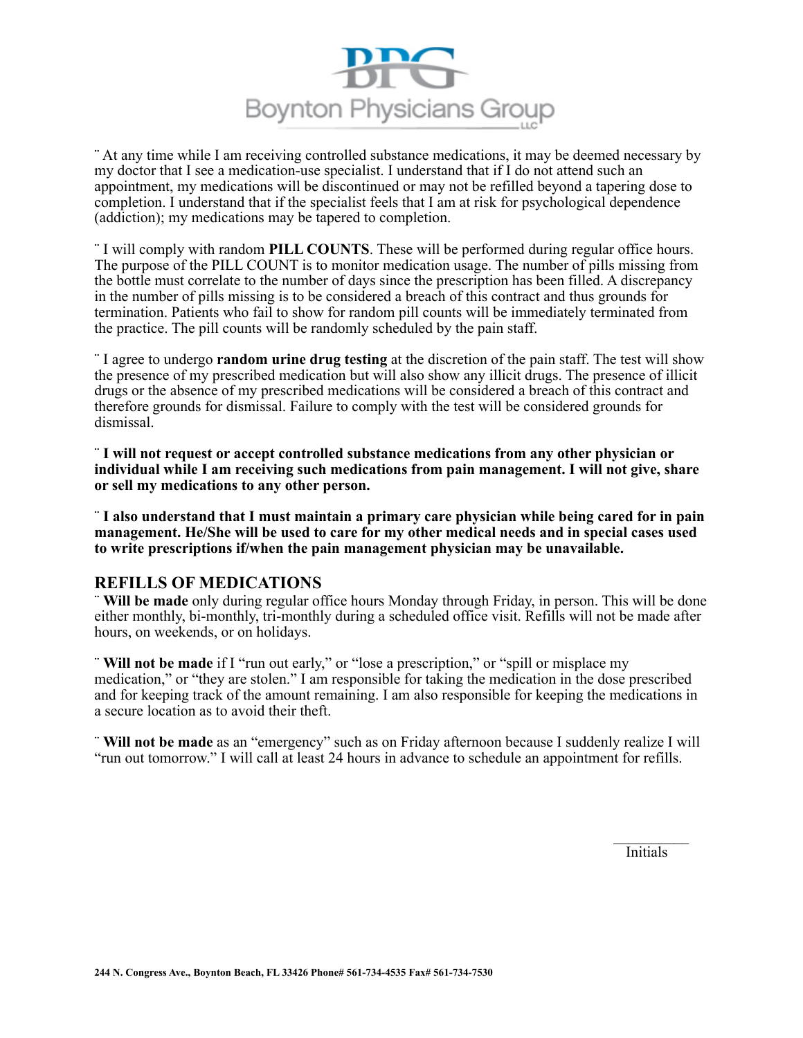

¨ At any time while I am receiving controlled substance medications, it may be deemed necessary by my doctor that I see a medication-use specialist. I understand that if I do not attend such an appointment, my medications will be discontinued or may not be refilled beyond a tapering dose to completion. I understand that if the specialist feels that I am at risk for psychological dependence (addiction); my medications may be tapered to completion.

¨ I will comply with random **PILL COUNTS**. These will be performed during regular office hours. The purpose of the PILL COUNT is to monitor medication usage. The number of pills missing from the bottle must correlate to the number of days since the prescription has been filled. A discrepancy in the number of pills missing is to be considered a breach of this contract and thus grounds for termination. Patients who fail to show for random pill counts will be immediately terminated from the practice. The pill counts will be randomly scheduled by the pain staff.

¨ I agree to undergo **random urine drug testing** at the discretion of the pain staff. The test will show the presence of my prescribed medication but will also show any illicit drugs. The presence of illicit drugs or the absence of my prescribed medications will be considered a breach of this contract and therefore grounds for dismissal. Failure to comply with the test will be considered grounds for dismissal.

¨ **I will not request or accept controlled substance medications from any other physician or individual while I am receiving such medications from pain management. I will not give, share or sell my medications to any other person.** 

¨ **I also understand that I must maintain a primary care physician while being cared for in pain management. He/She will be used to care for my other medical needs and in special cases used to write prescriptions if/when the pain management physician may be unavailable.** 

#### **REFILLS OF MEDICATIONS**

¨ **Will be made** only during regular office hours Monday through Friday, in person. This will be done either monthly, bi-monthly, tri-monthly during a scheduled office visit. Refills will not be made after hours, on weekends, or on holidays.

¨ **Will not be made** if I "run out early," or "lose a prescription," or "spill or misplace my medication," or "they are stolen." I am responsible for taking the medication in the dose prescribed and for keeping track of the amount remaining. I am also responsible for keeping the medications in a secure location as to avoid their theft.

¨ **Will not be made** as an "emergency" such as on Friday afternoon because I suddenly realize I will "run out tomorrow." I will call at least 24 hours in advance to schedule an appointment for refills.

 $\mathcal{L}_\text{max}$ Initials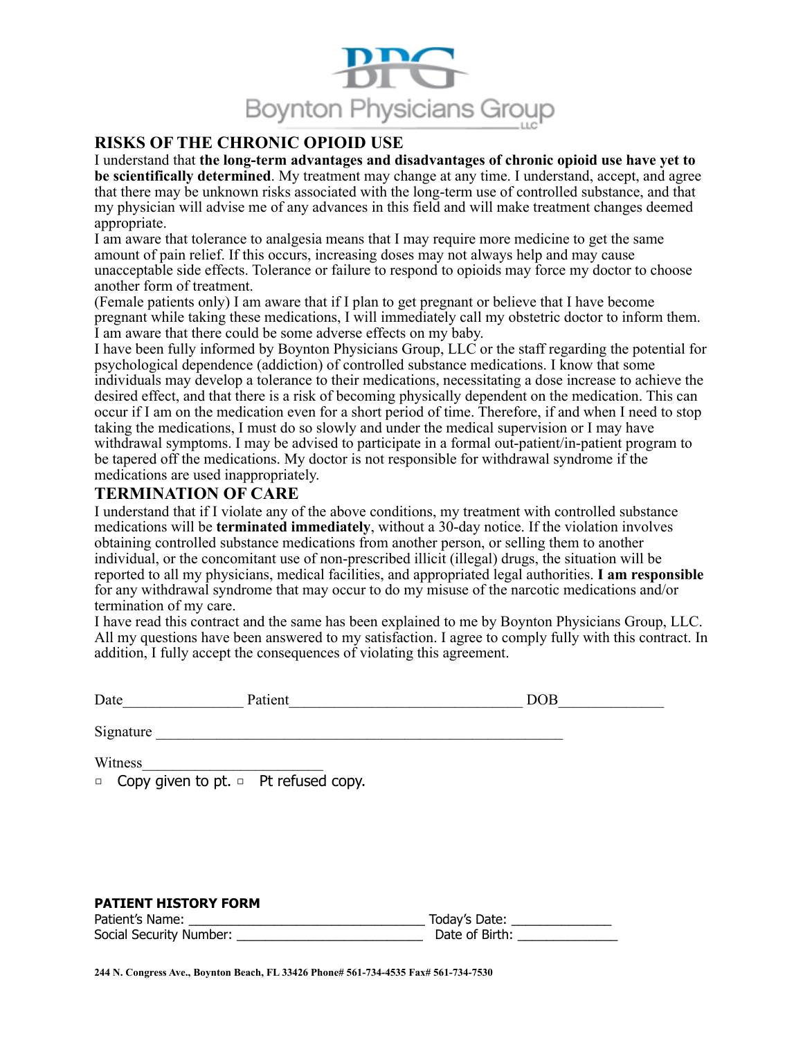

## **RISKS OF THE CHRONIC OPIOID USE**

I understand that **the long-term advantages and disadvantages of chronic opioid use have yet to be scientifically determined**. My treatment may change at any time. I understand, accept, and agree that there may be unknown risks associated with the long-term use of controlled substance, and that my physician will advise me of any advances in this field and will make treatment changes deemed appropriate.

I am aware that tolerance to analgesia means that I may require more medicine to get the same amount of pain relief. If this occurs, increasing doses may not always help and may cause unacceptable side effects. Tolerance or failure to respond to opioids may force my doctor to choose another form of treatment.

(Female patients only) I am aware that if I plan to get pregnant or believe that I have become pregnant while taking these medications, I will immediately call my obstetric doctor to inform them. I am aware that there could be some adverse effects on my baby.

I have been fully informed by Boynton Physicians Group, LLC or the staff regarding the potential for psychological dependence (addiction) of controlled substance medications. I know that some individuals may develop a tolerance to their medications, necessitating a dose increase to achieve the desired effect, and that there is a risk of becoming physically dependent on the medication. This can occur if I am on the medication even for a short period of time. Therefore, if and when I need to stop taking the medications, I must do so slowly and under the medical supervision or I may have withdrawal symptoms. I may be advised to participate in a formal out-patient/in-patient program to be tapered off the medications. My doctor is not responsible for withdrawal syndrome if the medications are used inappropriately.

#### **TERMINATION OF CARE**

I understand that if I violate any of the above conditions, my treatment with controlled substance medications will be **terminated immediately**, without a 30-day notice. If the violation involves obtaining controlled substance medications from another person, or selling them to another individual, or the concomitant use of non-prescribed illicit (illegal) drugs, the situation will be reported to all my physicians, medical facilities, and appropriated legal authorities. **I am responsible**  for any withdrawal syndrome that may occur to do my misuse of the narcotic medications and/or termination of my care.

I have read this contract and the same has been explained to me by Boynton Physicians Group, LLC. All my questions have been answered to my satisfaction. I agree to comply fully with this contract. In addition, I fully accept the consequences of violating this agreement.

| Date      | Patient                                          | DOB |
|-----------|--------------------------------------------------|-----|
| Signature |                                                  |     |
| Witness   |                                                  |     |
|           | $\Box$ Copy given to pt. $\Box$ Pt refused copy. |     |

#### **PATIENT HISTORY FORM**

| Patient's Name:         | Today's Date:  |
|-------------------------|----------------|
| Social Security Number: | Date of Birth: |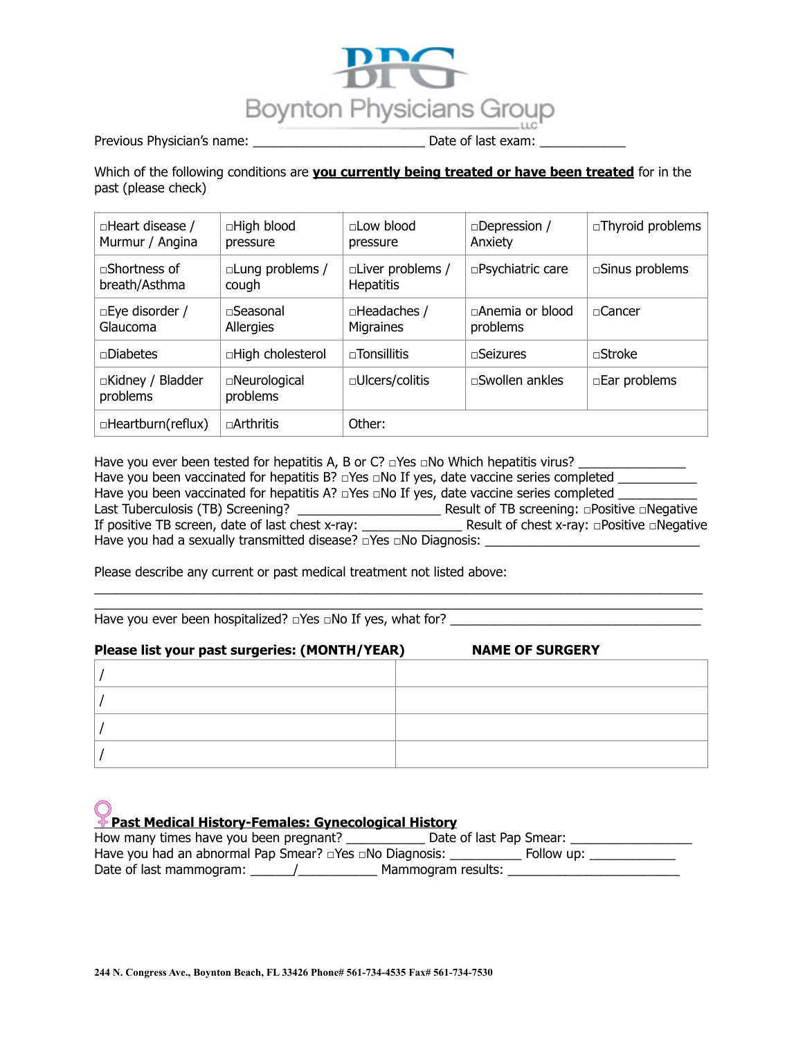

Previous Physician's name: \_\_\_\_\_\_\_\_\_\_\_\_\_\_\_\_\_\_\_\_\_\_\_\_\_\_\_\_\_\_\_\_\_\_ Date of last exam: \_\_

Which of the following conditions are **you currently being treated or have been treated** for in the past (please check)

| $\Box$ Heart disease /<br>Murmur / Angina | □High blood<br>pressure         | $\sqcap$ Low blood<br>pressure              | $\square$ Depression /<br>Anxiety  | $\Box$ Thyroid problems  |
|-------------------------------------------|---------------------------------|---------------------------------------------|------------------------------------|--------------------------|
| $\sqcap$ Shortness of<br>breath/Asthma    | $\Box$ Lung problems /<br>cough | $\Box$ Liver problems /<br><b>Hepatitis</b> | □Psychiatric care                  | $\square$ Sinus problems |
| $\square$ Eye disorder /<br>Glaucoma      | $\sqcap$ Seasonal<br>Allergies  | □Headaches /<br>Migraines                   | $\Box$ Anemia or blood<br>problems | $\sqcap$ Cancer          |
| $\neg$ Diabetes                           | □High cholesterol               | $\sqcap$ Tonsillitis                        | $\Box$ Seizures                    | $\Box$ Stroke            |
| □Kidney / Bladder<br>problems             | □Neurological<br>problems       | $\Box$ Ulcers/colitis                       | $\square$ Swollen ankles           | □Ear problems            |
| $\Box$ Heartburn(reflux)                  | $\sqcap$ Arthritis              | Other:                                      |                                    |                          |

Have you ever been tested for hepatitis A, B or C? □Yes □No Which hepatitis virus? \_\_\_\_\_\_\_\_\_\_\_\_\_\_\_\_ Have you been vaccinated for hepatitis B? □Yes □No If yes, date vaccine series completed \_\_\_\_\_\_\_\_\_\_\_ Have you been vaccinated for hepatitis A? □Yes □No If yes, date vaccine series completed \_\_\_\_\_\_\_\_\_\_ Last Tuberculosis (TB) Screening? \_\_\_\_\_\_\_\_\_\_\_\_\_\_\_\_\_\_\_\_ Result of TB screening: □Positive □Negative If positive TB screen, date of last chest x-ray: \_\_\_\_\_\_\_\_\_\_\_\_\_\_ Result of chest x-ray: □Positive □Negative Have you had a sexually transmitted disease? □Yes □No Diagnosis: \_

 $\_$  , and the set of the set of the set of the set of the set of the set of the set of the set of the set of the set of the set of the set of the set of the set of the set of the set of the set of the set of the set of th  $\_$  , and the set of the set of the set of the set of the set of the set of the set of the set of the set of the set of the set of the set of the set of the set of the set of the set of the set of the set of the set of th

Please describe any current or past medical treatment not listed above:

Have you ever been hospitalized? □Yes □No If yes, what for? \_\_\_\_\_\_\_\_\_\_\_\_\_\_\_\_\_\_\_\_

# **Please list your past surgeries: (MONTH/YEAR) NAME OF SURGERY**  / / / /

**Past Medical History-Females: Gynecological History**

| How many times have you been pregnant?                              | Date of last Pap Smear: |
|---------------------------------------------------------------------|-------------------------|
| Have you had an abnormal Pap Smear? $\Box$ Yes $\Box$ No Diagnosis: | Follow up:              |
| Date of last mammogram:                                             | Mammogram results:      |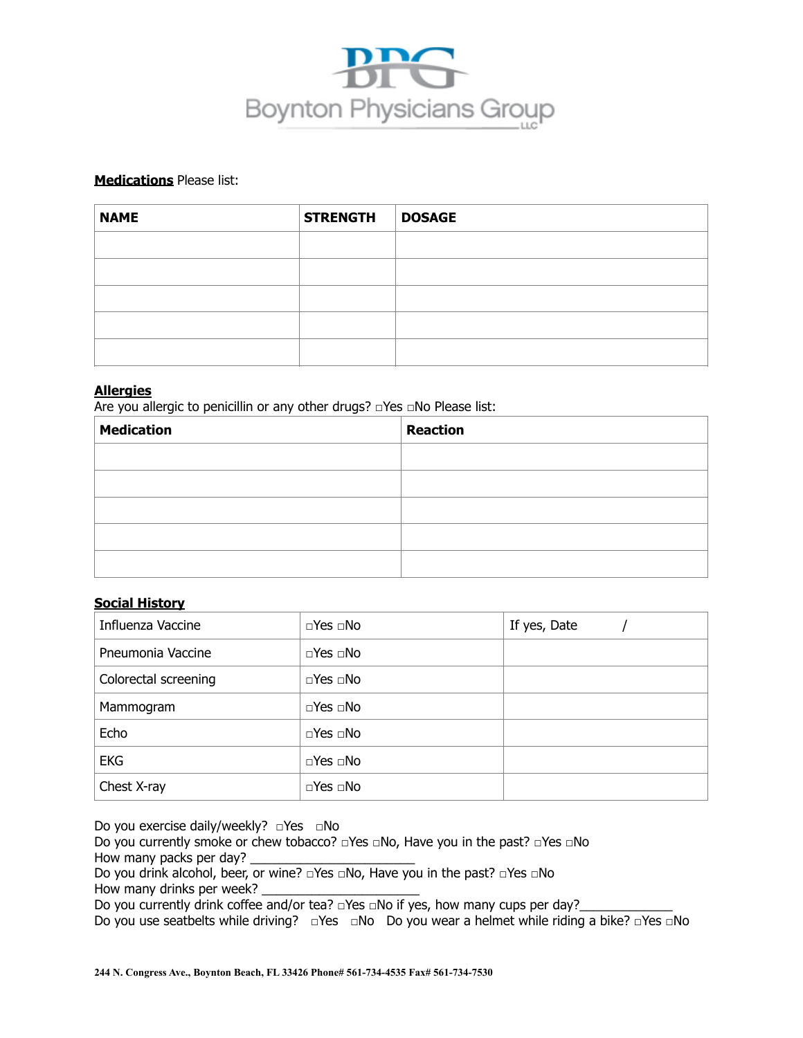

#### **Medications** Please list:

| <b>NAME</b> | <b>STRENGTH</b> | <b>DOSAGE</b> |
|-------------|-----------------|---------------|
|             |                 |               |
|             |                 |               |
|             |                 |               |
|             |                 |               |
|             |                 |               |

#### **Allergies**

Are you allergic to penicillin or any other drugs? □Yes □No Please list:

| <b>Medication</b> | <b>Reaction</b> |
|-------------------|-----------------|
|                   |                 |
|                   |                 |
|                   |                 |
|                   |                 |
|                   |                 |

#### **Social History**

| Influenza Vaccine    | $\Box$ Yes $\Box$ No | If yes, Date |
|----------------------|----------------------|--------------|
| Pneumonia Vaccine    | $\Box$ Yes $\Box$ No |              |
| Colorectal screening | $\Box$ Yes $\Box$ No |              |
| Mammogram            | $\Box$ Yes $\Box$ No |              |
| Echo                 | $\Box$ Yes $\Box$ No |              |
| <b>EKG</b>           | $\Box$ Yes $\Box$ No |              |
| Chest X-ray          | $\Box$ Yes $\Box$ No |              |

Do you exercise daily/weekly? □Yes □No

Do you currently smoke or chew tobacco? □Yes □No, Have you in the past? □Yes □No How many packs per day?

Do you drink alcohol, beer, or wine? □Yes □No, Have you in the past? □Yes □No

How many drinks per week?

Do you currently drink coffee and/or tea?  $\Box$ Yes  $\Box$ No if yes, how many cups per day?

Do you use seatbelts while driving? □Yes □No Do you wear a helmet while riding a bike? □Yes □No